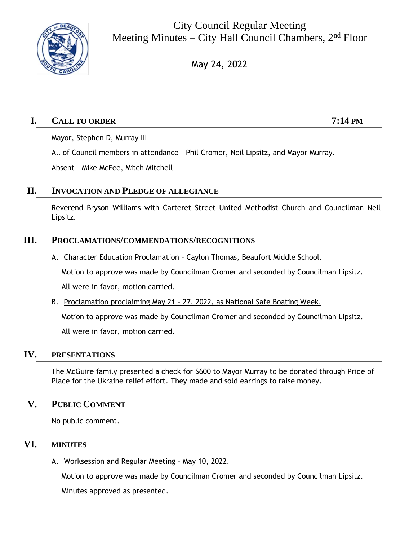

City Council Regular Meeting Meeting Minutes – City Hall Council Chambers,  $2<sup>nd</sup>$  Floor

May 24, 2022

# **I. CALL TO ORDER 7:14 PM**

Mayor, Stephen D, Murray III

All of Council members in attendance - Phil Cromer, Neil Lipsitz, and Mayor Murray.

Absent – Mike McFee, Mitch Mitchell

## **II. INVOCATION AND PLEDGE OF ALLEGIANCE**

Reverend Bryson Williams with Carteret Street United Methodist Church and Councilman Neil Lipsitz.

## **III. PROCLAMATIONS/COMMENDATIONS/RECOGNITIONS**

A. Character Education Proclamation – Caylon Thomas, Beaufort Middle School.

Motion to approve was made by Councilman Cromer and seconded by Councilman Lipsitz.

All were in favor, motion carried.

B. Proclamation proclaiming May 21 – 27, 2022, as National Safe Boating Week.

Motion to approve was made by Councilman Cromer and seconded by Councilman Lipsitz. All were in favor, motion carried.

## **IV. PRESENTATIONS**

The McGuire family presented a check for \$600 to Mayor Murray to be donated through Pride of Place for the Ukraine relief effort. They made and sold earrings to raise money.

## **V. PUBLIC COMMENT**

No public comment.

## **VI. MINUTES**

A. Worksession and Regular Meeting – May 10, 2022.

Motion to approve was made by Councilman Cromer and seconded by Councilman Lipsitz. Minutes approved as presented.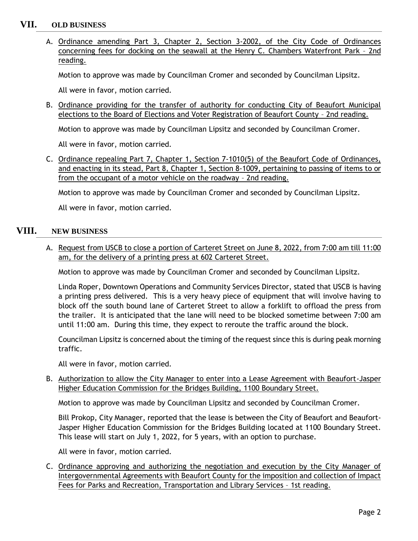## **VII. OLD BUSINESS**

A. Ordinance amending Part 3, Chapter 2, Section 3-2002, of the City Code of Ordinances concerning fees for docking on the seawall at the Henry C. Chambers Waterfront Park – 2nd reading.

Motion to approve was made by Councilman Cromer and seconded by Councilman Lipsitz.

All were in favor, motion carried.

B. Ordinance providing for the transfer of authority for conducting City of Beaufort Municipal elections to the Board of Elections and Voter Registration of Beaufort County – 2nd reading.

Motion to approve was made by Councilman Lipsitz and seconded by Councilman Cromer.

All were in favor, motion carried.

C. Ordinance repealing Part 7, Chapter 1, Section 7-1010(5) of the Beaufort Code of Ordinances, and enacting in its stead, Part 8, Chapter 1, Section 8-1009, pertaining to passing of items to or from the occupant of a motor vehicle on the roadway – 2nd reading.

Motion to approve was made by Councilman Cromer and seconded by Councilman Lipsitz.

All were in favor, motion carried.

### **VIII. NEW BUSINESS**

A. Request from USCB to close a portion of Carteret Street on June 8, 2022, from 7:00 am till 11:00 am, for the delivery of a printing press at 602 Carteret Street.

Motion to approve was made by Councilman Cromer and seconded by Councilman Lipsitz.

Linda Roper, Downtown Operations and Community Services Director, stated that USCB is having a printing press delivered. This is a very heavy piece of equipment that will involve having to block off the south bound lane of Carteret Street to allow a forklift to offload the press from the trailer. It is anticipated that the lane will need to be blocked sometime between 7:00 am until 11:00 am. During this time, they expect to reroute the traffic around the block.

Councilman Lipsitz is concerned about the timing of the request since this is during peak morning traffic.

All were in favor, motion carried.

B. Authorization to allow the City Manager to enter into a Lease Agreement with Beaufort-Jasper Higher Education Commission for the Bridges Building, 1100 Boundary Street.

Motion to approve was made by Councilman Lipsitz and seconded by Councilman Cromer.

Bill Prokop, City Manager, reported that the lease is between the City of Beaufort and Beaufort-Jasper Higher Education Commission for the Bridges Building located at 1100 Boundary Street. This lease will start on July 1, 2022, for 5 years, with an option to purchase.

All were in favor, motion carried.

C. Ordinance approving and authorizing the negotiation and execution by the City Manager of Intergovernmental Agreements with Beaufort County for the imposition and collection of Impact Fees for Parks and Recreation, Transportation and Library Services – 1st reading.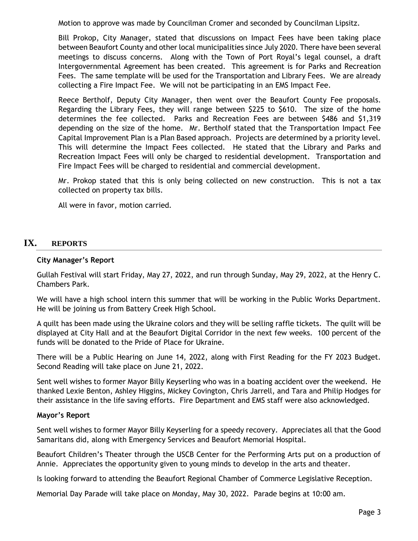Motion to approve was made by Councilman Cromer and seconded by Councilman Lipsitz.

Bill Prokop, City Manager, stated that discussions on Impact Fees have been taking place between Beaufort County and other local municipalities since July 2020. There have been several meetings to discuss concerns. Along with the Town of Port Royal's legal counsel, a draft Intergovernmental Agreement has been created. This agreement is for Parks and Recreation Fees. The same template will be used for the Transportation and Library Fees. We are already collecting a Fire Impact Fee. We will not be participating in an EMS Impact Fee.

Reece Bertholf, Deputy City Manager, then went over the Beaufort County Fee proposals. Regarding the Library Fees, they will range between \$225 to \$610. The size of the home determines the fee collected. Parks and Recreation Fees are between \$486 and \$1,319 depending on the size of the home. Mr. Bertholf stated that the Transportation Impact Fee Capital Improvement Plan is a Plan Based approach. Projects are determined by a priority level. This will determine the Impact Fees collected. He stated that the Library and Parks and Recreation Impact Fees will only be charged to residential development. Transportation and Fire Impact Fees will be charged to residential and commercial development.

Mr. Prokop stated that this is only being collected on new construction. This is not a tax collected on property tax bills.

All were in favor, motion carried.

## **IX. REPORTS**

#### **City Manager's Report**

Gullah Festival will start Friday, May 27, 2022, and run through Sunday, May 29, 2022, at the Henry C. Chambers Park.

We will have a high school intern this summer that will be working in the Public Works Department. He will be joining us from Battery Creek High School.

A quilt has been made using the Ukraine colors and they will be selling raffle tickets. The quilt will be displayed at City Hall and at the Beaufort Digital Corridor in the next few weeks. 100 percent of the funds will be donated to the Pride of Place for Ukraine.

There will be a Public Hearing on June 14, 2022, along with First Reading for the FY 2023 Budget. Second Reading will take place on June 21, 2022.

Sent well wishes to former Mayor Billy Keyserling who was in a boating accident over the weekend. He thanked Lexie Benton, Ashley Higgins, Mickey Covington, Chris Jarrell, and Tara and Philip Hodges for their assistance in the life saving efforts. Fire Department and EMS staff were also acknowledged.

#### **Mayor's Report**

Sent well wishes to former Mayor Billy Keyserling for a speedy recovery. Appreciates all that the Good Samaritans did, along with Emergency Services and Beaufort Memorial Hospital.

Beaufort Children's Theater through the USCB Center for the Performing Arts put on a production of Annie. Appreciates the opportunity given to young minds to develop in the arts and theater.

Is looking forward to attending the Beaufort Regional Chamber of Commerce Legislative Reception.

Memorial Day Parade will take place on Monday, May 30, 2022. Parade begins at 10:00 am.